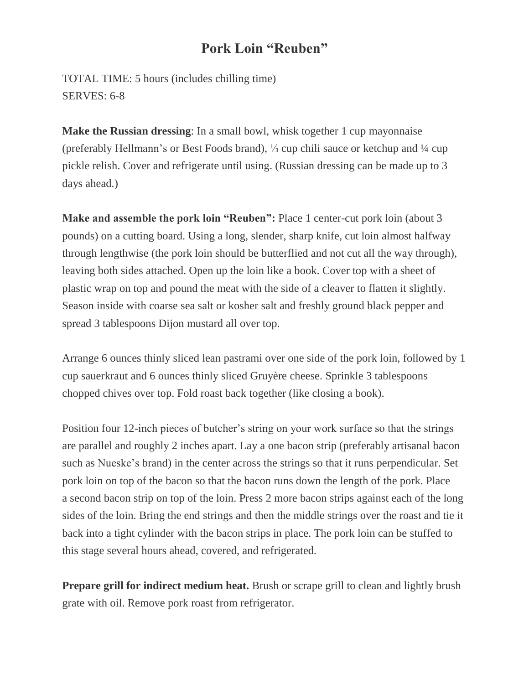## **Pork Loin "Reuben"**

TOTAL TIME: 5 hours (includes chilling time) SERVES: 6-8

**Make the Russian dressing**: In a small bowl, whisk together 1 cup mayonnaise (preferably Hellmann's or Best Foods brand), ⅓ cup chili sauce or ketchup and ¼ cup pickle relish. Cover and refrigerate until using. (Russian dressing can be made up to 3 days ahead.)

**Make and assemble the pork loin "Reuben":** Place 1 center-cut pork loin (about 3 pounds) on a cutting board. Using a long, slender, sharp knife, cut loin almost halfway through lengthwise (the pork loin should be butterflied and not cut all the way through), leaving both sides attached. Open up the loin like a book. Cover top with a sheet of plastic wrap on top and pound the meat with the side of a cleaver to flatten it slightly. Season inside with coarse sea salt or kosher salt and freshly ground black pepper and spread 3 tablespoons Dijon mustard all over top.

Arrange 6 ounces thinly sliced lean pastrami over one side of the pork loin, followed by 1 cup sauerkraut and 6 ounces thinly sliced Gruyère cheese. Sprinkle 3 tablespoons chopped chives over top. Fold roast back together (like closing a book).

Position four 12-inch pieces of butcher's string on your work surface so that the strings are parallel and roughly 2 inches apart. Lay a one bacon strip (preferably artisanal bacon such as Nueske's brand) in the center across the strings so that it runs perpendicular. Set pork loin on top of the bacon so that the bacon runs down the length of the pork. Place a second bacon strip on top of the loin. Press 2 more bacon strips against each of the long sides of the loin. Bring the end strings and then the middle strings over the roast and tie it back into a tight cylinder with the bacon strips in place. The pork loin can be stuffed to this stage several hours ahead, covered, and refrigerated.

**Prepare grill for indirect medium heat.** Brush or scrape grill to clean and lightly brush grate with oil. Remove pork roast from refrigerator.